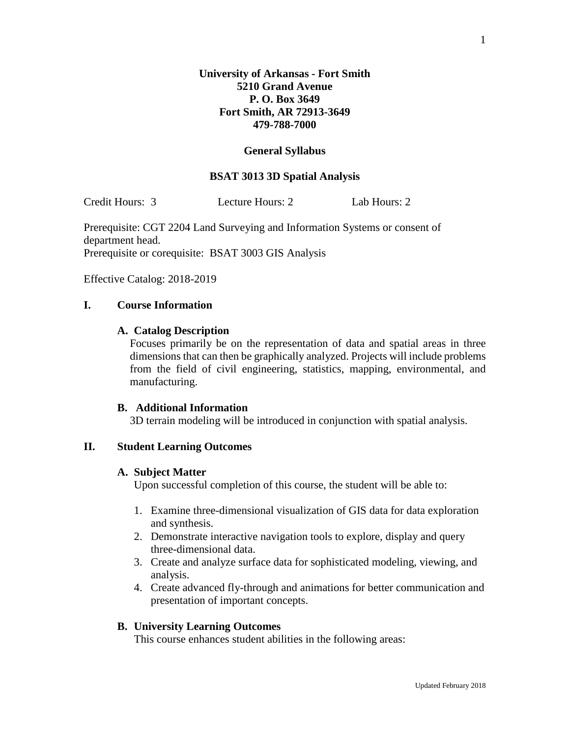### **General Syllabus**

### **BSAT 3013 3D Spatial Analysis**

Credit Hours: 3 Lecture Hours: 2 Lab Hours: 2

Prerequisite: CGT 2204 Land Surveying and Information Systems or consent of department head. Prerequisite or corequisite: BSAT 3003 GIS Analysis

Effective Catalog: 2018-2019

## **I. Course Information**

#### **A. Catalog Description**

Focuses primarily be on the representation of data and spatial areas in three dimensions that can then be graphically analyzed. Projects will include problems from the field of civil engineering, statistics, mapping, environmental, and manufacturing.

#### **B. Additional Information**

3D terrain modeling will be introduced in conjunction with spatial analysis.

## **II. Student Learning Outcomes**

### **A. Subject Matter**

Upon successful completion of this course, the student will be able to:

- 1. Examine three-dimensional visualization of GIS data for data exploration and synthesis.
- 2. Demonstrate interactive navigation tools to explore, display and query three-dimensional data.
- 3. Create and analyze surface data for sophisticated modeling, viewing, and analysis.
- 4. Create advanced fly-through and animations for better communication and presentation of important concepts.

### **B. University Learning Outcomes**

This course enhances student abilities in the following areas: